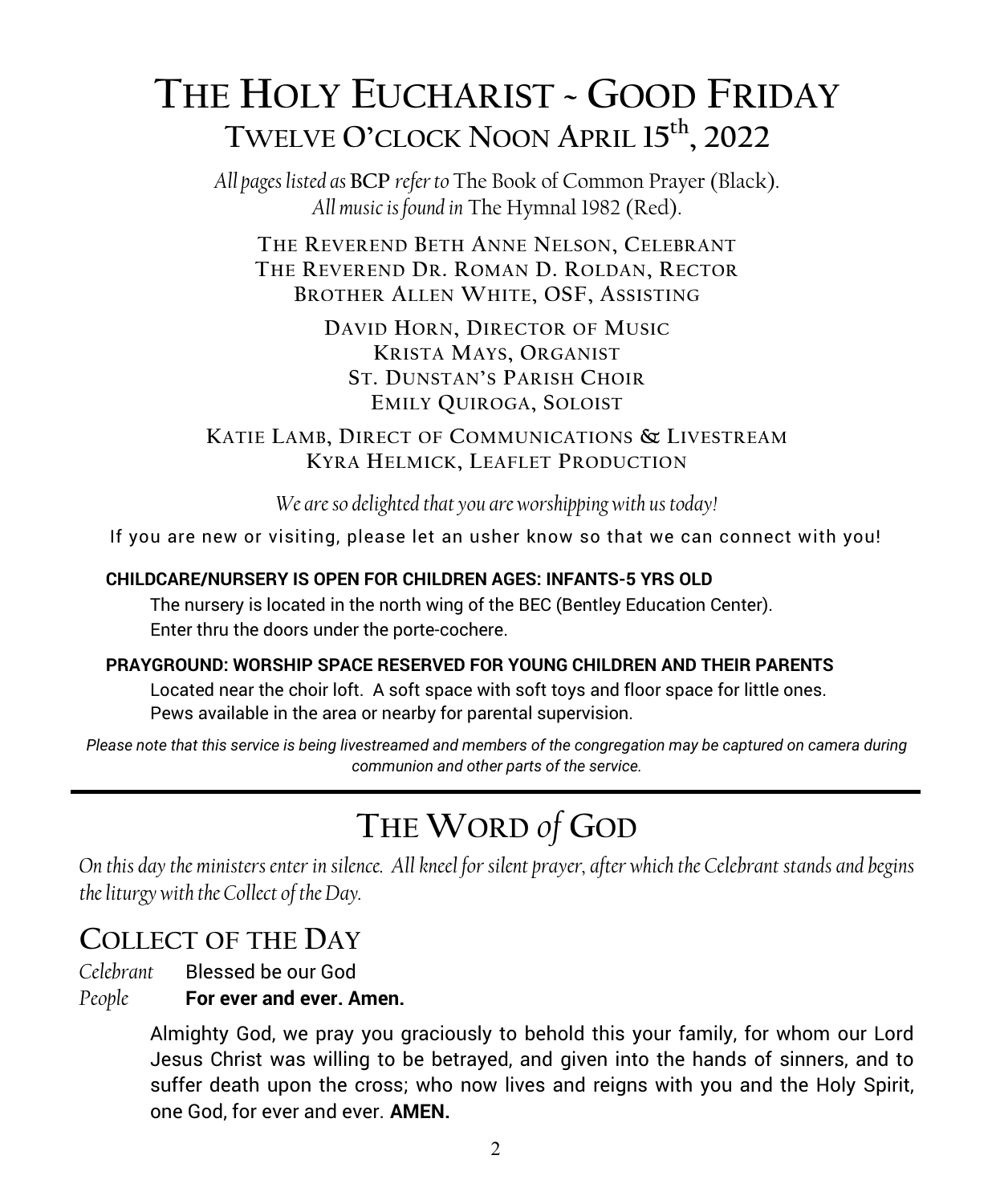# **THE HOLY EUCHARIST ~ GOOD FRIDAY TWELVE O'CLOCK NOON APRIL 15th, 2022**

*All pages listed as* **BCP** *refer to* The Book of Common Prayer (Black). *All music is found in* The Hymnal 1982 (Red).

**THE REVEREND BETH ANNE NELSON, CELEBRANT THE REVEREND DR. ROMAN D. ROLDAN, RECTOR BROTHER ALLEN WHITE, OSF, ASSISTING**

> **DAVID HORN, DIRECTOR OF MUSIC KRISTA MAYS, ORGANIST ST. DUNSTAN'S PARISH CHOIR EMILY QUIROGA, SOLOIST**

**KATIE LAMB, DIRECT OF COMMUNICATIONS & LIVESTREAM KYRA HELMICK, LEAFLET PRODUCTION**

*We are so delighted that you are worshipping with us today!*

If you are new or visiting, please let an usher know so that we can connect with you!

#### **CHILDCARE/NURSERY IS OPEN FOR CHILDREN AGES: INFANTS-5 YRS OLD**

The nursery is located in the north wing of the BEC (Bentley Education Center). Enter thru the doors under the porte-cochere.

#### **PRAYGROUND: WORSHIP SPACE RESERVED FOR YOUNG CHILDREN AND THEIR PARENTS**

Located near the choir loft. A soft space with soft toys and floor space for little ones. Pews available in the area or nearby for parental supervision.

*Please note that this service is being livestreamed and members of the congregation may be captured on camera during communion and other parts of the service.*

# **THE WORD** *of* **GOD**

*On this day the ministers enter in silence. All kneel for silent prayer, after which the Celebrant stands and begins the liturgy with the Collect of the Day.*

### **COLLECT OF THE DAY**

*Celebrant* Blessed be our God

#### *People* **For ever and ever. Amen.**

Almighty God, we pray you graciously to behold this your family, for whom our Lord Jesus Christ was willing to be betrayed, and given into the hands of sinners, and to suffer death upon the cross; who now lives and reigns with you and the Holy Spirit, one God, for ever and ever. **AMEN.**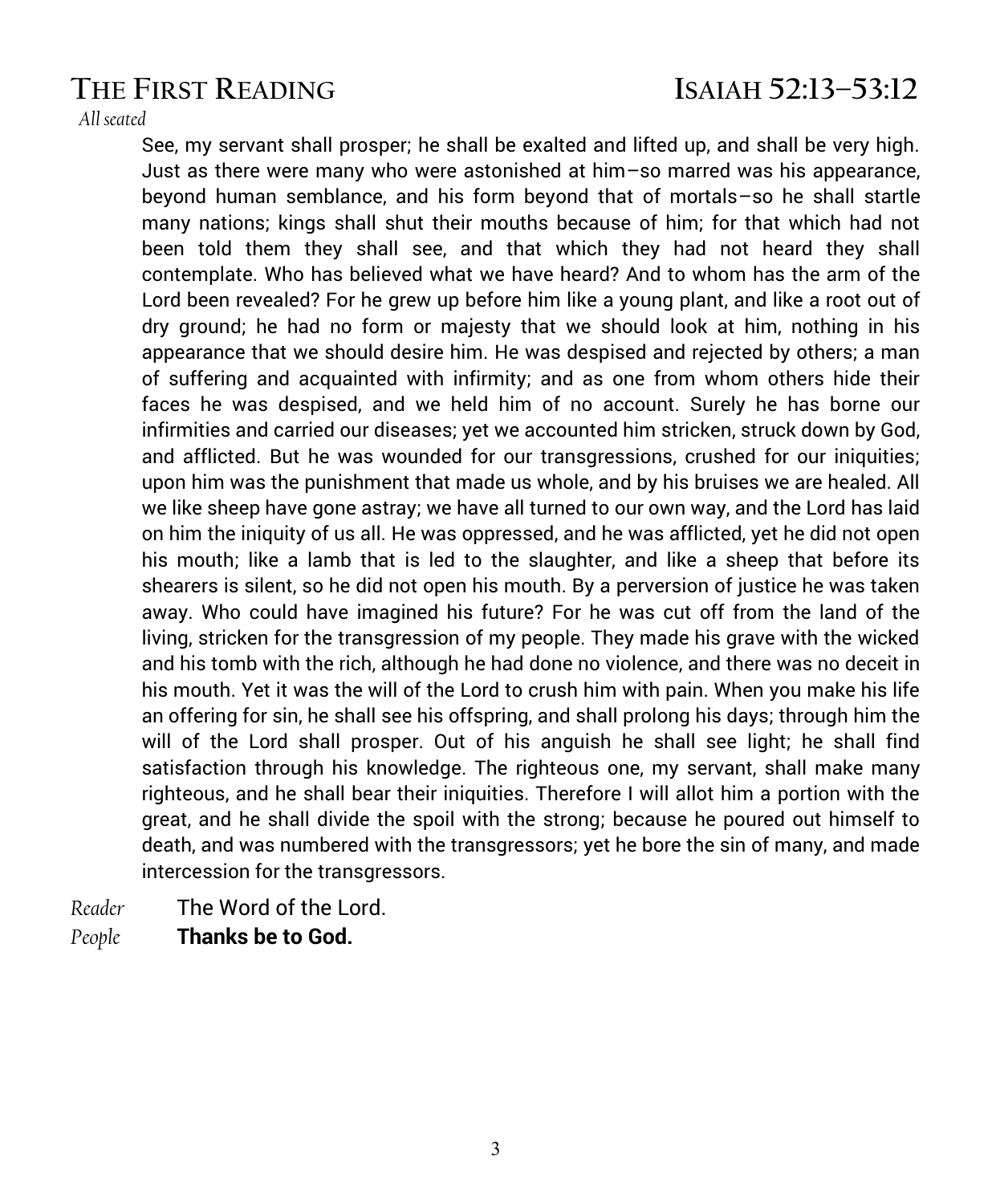## **THE FIRST READING ISAIAH 52:13–53:12**

*All seated* 

See, my servant shall prosper; he shall be exalted and lifted up, and shall be very high. Just as there were many who were astonished at him–so marred was his appearance, beyond human semblance, and his form beyond that of mortals–so he shall startle many nations; kings shall shut their mouths because of him; for that which had not been told them they shall see, and that which they had not heard they shall contemplate. Who has believed what we have heard? And to whom has the arm of the Lord been revealed? For he grew up before him like a young plant, and like a root out of dry ground; he had no form or majesty that we should look at him, nothing in his appearance that we should desire him. He was despised and rejected by others; a man of suffering and acquainted with infirmity; and as one from whom others hide their faces he was despised, and we held him of no account. Surely he has borne our infirmities and carried our diseases; yet we accounted him stricken, struck down by God, and afflicted. But he was wounded for our transgressions, crushed for our iniquities; upon him was the punishment that made us whole, and by his bruises we are healed. All we like sheep have gone astray; we have all turned to our own way, and the Lord has laid on him the iniquity of us all. He was oppressed, and he was afflicted, yet he did not open his mouth; like a lamb that is led to the slaughter, and like a sheep that before its shearers is silent, so he did not open his mouth. By a perversion of justice he was taken away. Who could have imagined his future? For he was cut off from the land of the living, stricken for the transgression of my people. They made his grave with the wicked and his tomb with the rich, although he had done no violence, and there was no deceit in his mouth. Yet it was the will of the Lord to crush him with pain. When you make his life an offering for sin, he shall see his offspring, and shall prolong his days; through him the will of the Lord shall prosper. Out of his anguish he shall see light; he shall find satisfaction through his knowledge. The righteous one, my servant, shall make many righteous, and he shall bear their iniquities. Therefore I will allot him a portion with the great, and he shall divide the spoil with the strong; because he poured out himself to death, and was numbered with the transgressors; yet he bore the sin of many, and made intercession for the transgressors.

*Reader* The Word of the Lord. *People* **Thanks be to God.**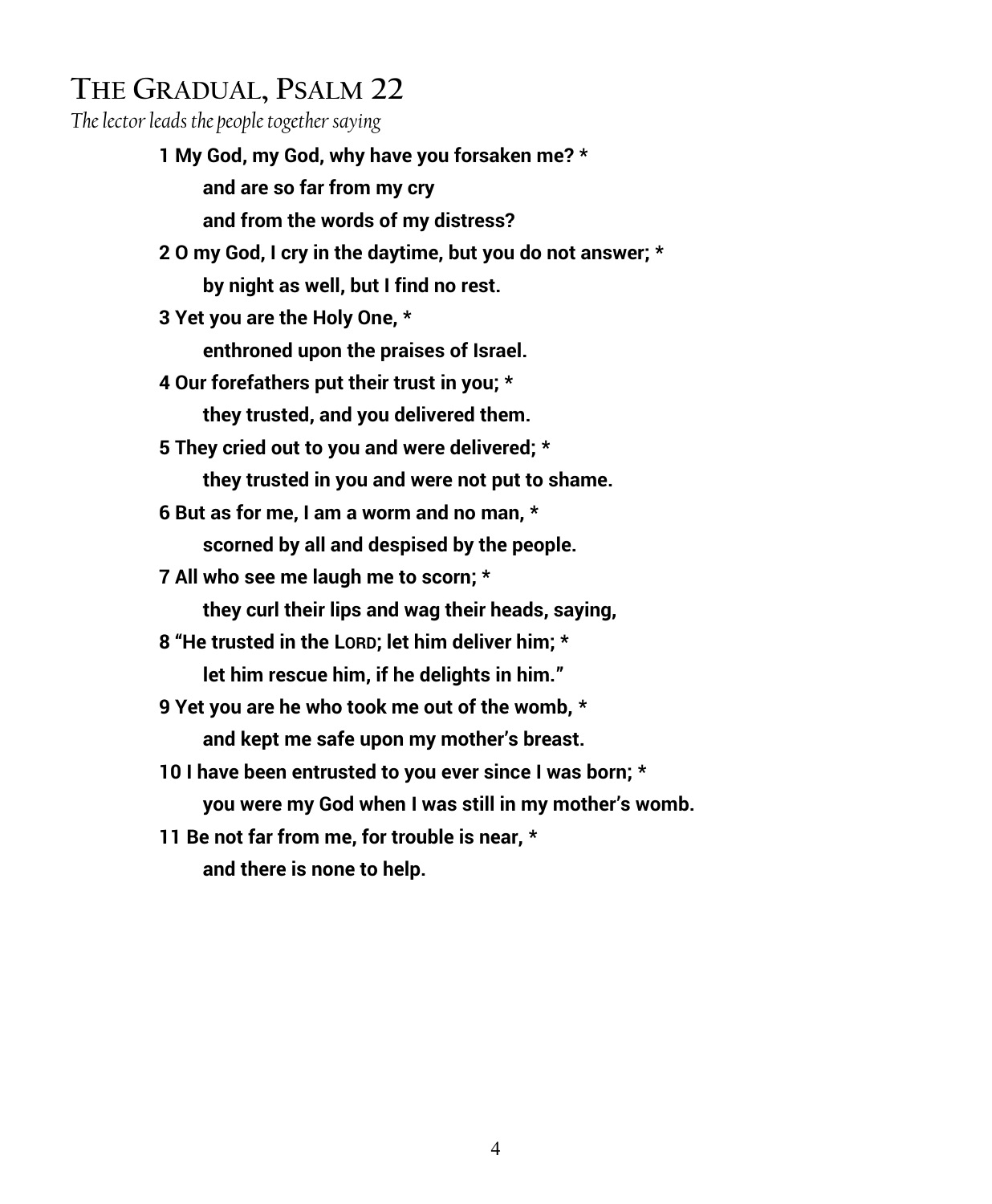# **THE GRADUAL, PSALM 22**

*The lector leads the people together saying* 

**1 My God, my God, why have you forsaken me? \* and are so far from my cry and from the words of my distress? 2 O my God, I cry in the daytime, but you do not answer; \* by night as well, but I find no rest. 3 Yet you are the Holy One, \* enthroned upon the praises of Israel. 4 Our forefathers put their trust in you; \* they trusted, and you delivered them. 5 They cried out to you and were delivered; \* they trusted in you and were not put to shame. 6 But as for me, I am a worm and no man, \* scorned by all and despised by the people. 7 All who see me laugh me to scorn; \* they curl their lips and wag their heads, saying, 8 "He trusted in the LORD; let him deliver him; \* let him rescue him, if he delights in him." 9 Yet you are he who took me out of the womb, \* and kept me safe upon my mother's breast. 10 I have been entrusted to you ever since I was born; \* you were my God when I was still in my mother's womb. 11 Be not far from me, for trouble is near, \* and there is none to help.**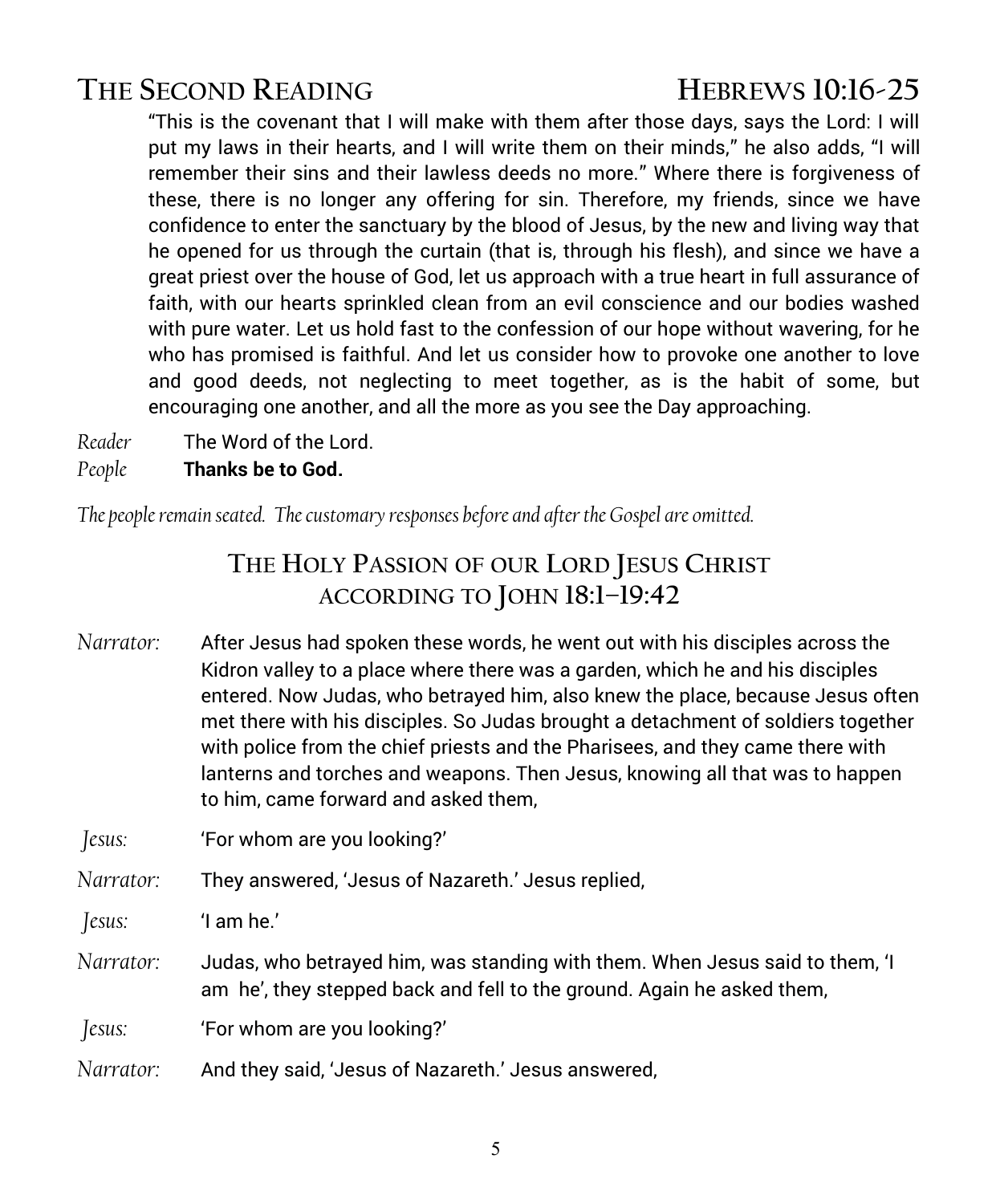# **THE SECOND READING HEBREWS 10:16-25**

"This is the covenant that I will make with them after those days, says the Lord: I will put my laws in their hearts, and I will write them on their minds," he also adds, "I will remember their sins and their lawless deeds no more." Where there is forgiveness of these, there is no longer any offering for sin. Therefore, my friends, since we have confidence to enter the sanctuary by the blood of Jesus, by the new and living way that he opened for us through the curtain (that is, through his flesh), and since we have a great priest over the house of God, let us approach with a true heart in full assurance of faith, with our hearts sprinkled clean from an evil conscience and our bodies washed with pure water. Let us hold fast to the confession of our hope without wavering, for he who has promised is faithful. And let us consider how to provoke one another to love and good deeds, not neglecting to meet together, as is the habit of some, but encouraging one another, and all the more as you see the Day approaching.

*Reader* The Word of the Lord.

*People* **Thanks be to God.** 

*The people remain seated. The customary responses before and after the Gospel are omitted.*

### **THE HOLY PASSION OF OUR LORD JESUS CHRIST ACCORDING TO JOHN 18:1–19:42**

*Narrator:* After Jesus had spoken these words, he went out with his disciples across the Kidron valley to a place where there was a garden, which he and his disciples entered. Now Judas, who betrayed him, also knew the place, because Jesus often met there with his disciples. So Judas brought a detachment of soldiers together with police from the chief priests and the Pharisees, and they came there with lanterns and torches and weapons. Then Jesus, knowing all that was to happen to him, came forward and asked them,

*Jesus:* 'For whom are you looking?'

*Narrator:* They answered, 'Jesus of Nazareth.' Jesus replied,

*Jesus:* 'I am he.'

*Narrator:* Judas, who betrayed him, was standing with them. When Jesus said to them, 'I am he', they stepped back and fell to the ground. Again he asked them,

*Jesus:* 'For whom are you looking?'

*Narrator:* And they said, 'Jesus of Nazareth.' Jesus answered,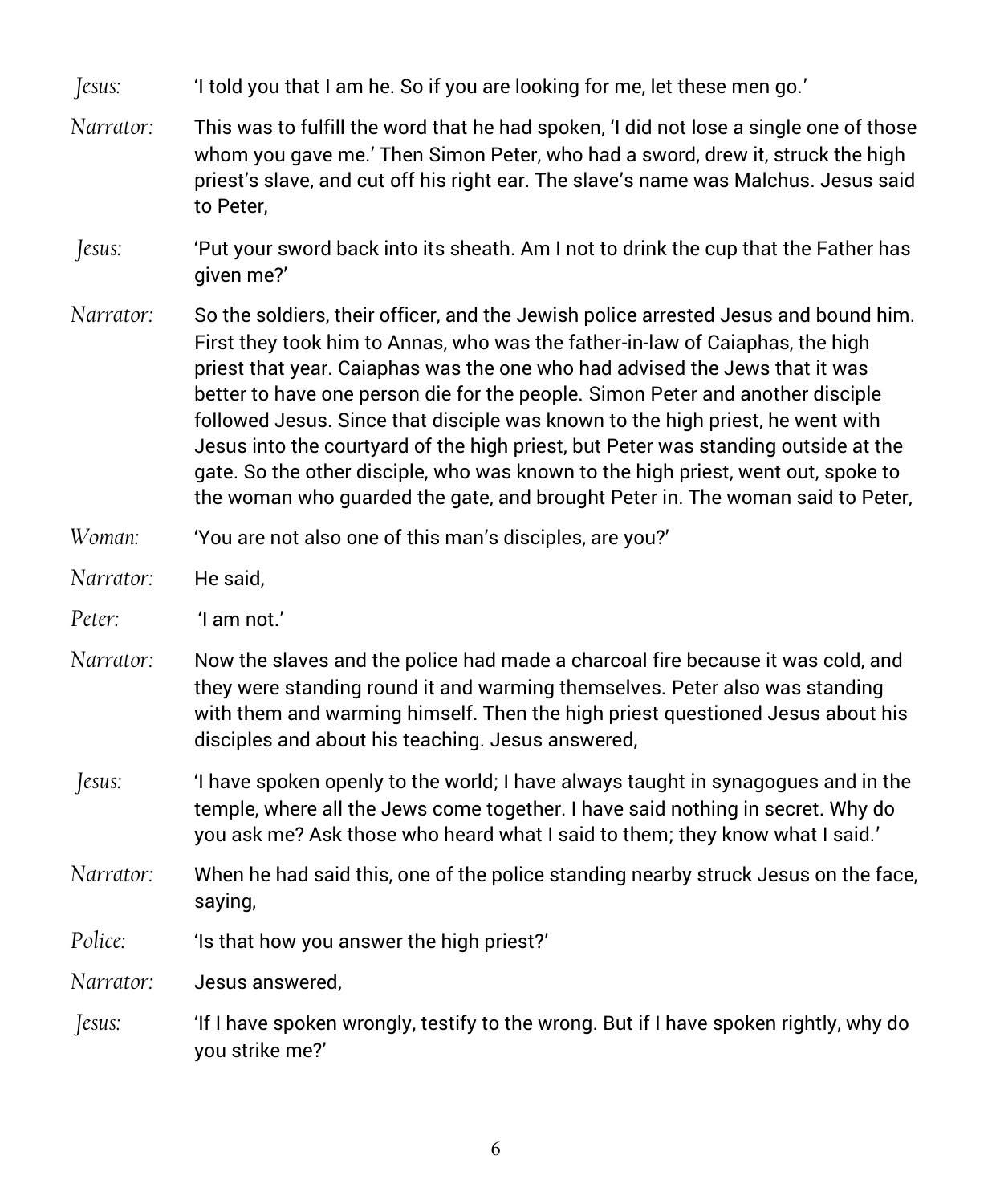| Jesus: | 'I told you that I am he. So if you are looking for me, let these men go.' |
|--------|----------------------------------------------------------------------------|
|        |                                                                            |

- *Narrator:* This was to fulfill the word that he had spoken, 'I did not lose a single one of those whom you gave me.' Then Simon Peter, who had a sword, drew it, struck the high priest's slave, and cut off his right ear. The slave's name was Malchus. Jesus said to Peter,
- *Jesus:* 'Put your sword back into its sheath. Am I not to drink the cup that the Father has given me?'
- *Narrator:* So the soldiers, their officer, and the Jewish police arrested Jesus and bound him. First they took him to Annas, who was the father-in-law of Caiaphas, the high priest that year. Caiaphas was the one who had advised the Jews that it was better to have one person die for the people. Simon Peter and another disciple followed Jesus. Since that disciple was known to the high priest, he went with Jesus into the courtyard of the high priest, but Peter was standing outside at the gate. So the other disciple, who was known to the high priest, went out, spoke to the woman who guarded the gate, and brought Peter in. The woman said to Peter,
- *Woman:* 'You are not also one of this man's disciples, are you?'
- *Narrator:* He said,

*Peter:* 'I am not.'

- *Narrator:* Now the slaves and the police had made a charcoal fire because it was cold, and they were standing round it and warming themselves. Peter also was standing with them and warming himself. Then the high priest questioned Jesus about his disciples and about his teaching. Jesus answered,
- *Jesus:* 'I have spoken openly to the world; I have always taught in synagogues and in the temple, where all the Jews come together. I have said nothing in secret. Why do you ask me? Ask those who heard what I said to them; they know what I said.'
- *Narrator:* When he had said this, one of the police standing nearby struck Jesus on the face, saying,
- *Police:* 'Is that how you answer the high priest?'

*Narrator:* Jesus answered,

*Jesus:* 'If I have spoken wrongly, testify to the wrong. But if I have spoken rightly, why do you strike me?'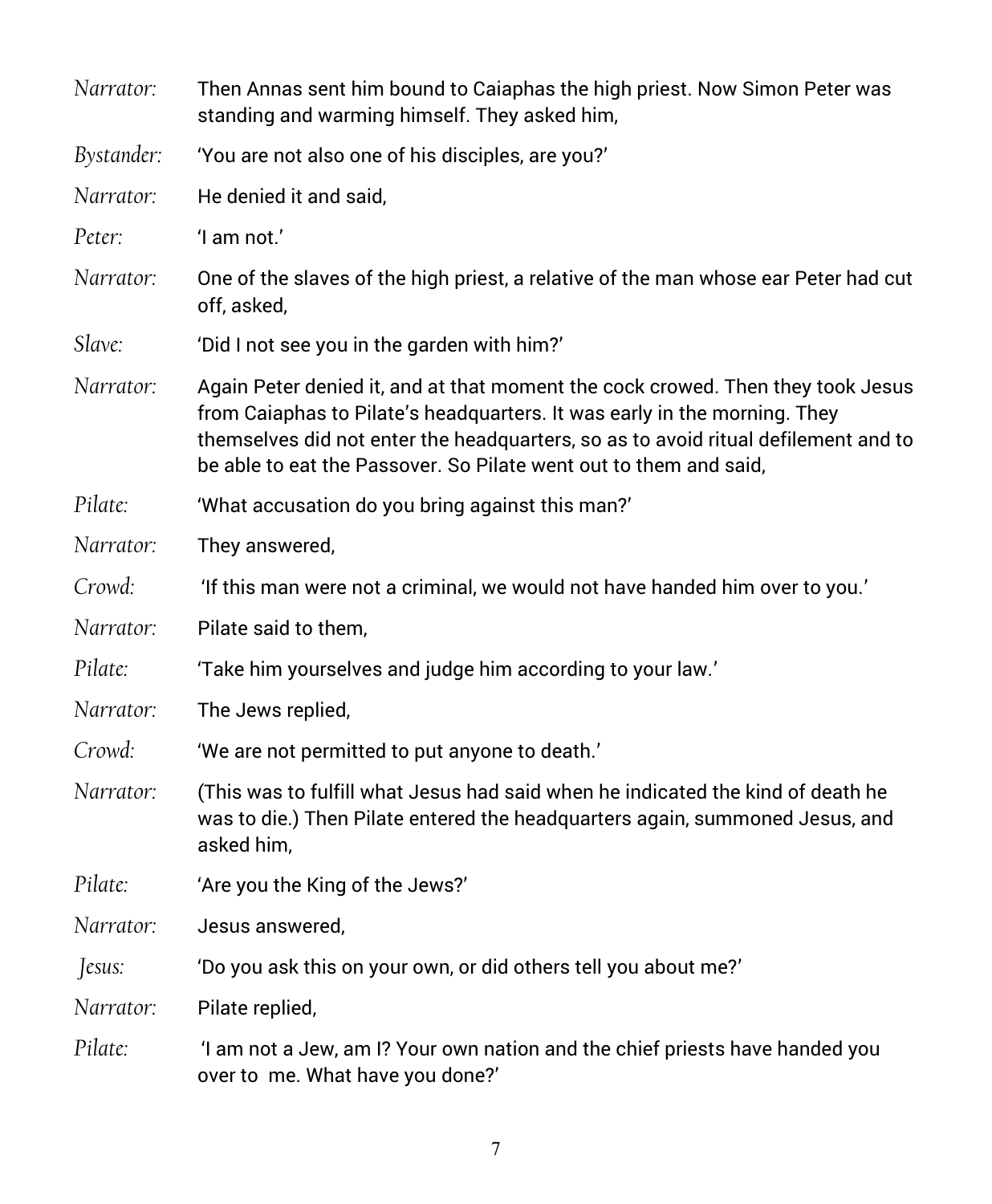| Narrator:  | Then Annas sent him bound to Caiaphas the high priest. Now Simon Peter was<br>standing and warming himself. They asked him,                                                                                                                                                                                             |
|------------|-------------------------------------------------------------------------------------------------------------------------------------------------------------------------------------------------------------------------------------------------------------------------------------------------------------------------|
| Bystander: | 'You are not also one of his disciples, are you?'                                                                                                                                                                                                                                                                       |
| Narrator:  | He denied it and said,                                                                                                                                                                                                                                                                                                  |
| Peter:     | 'I am not.'                                                                                                                                                                                                                                                                                                             |
| Narrator:  | One of the slaves of the high priest, a relative of the man whose ear Peter had cut<br>off, asked,                                                                                                                                                                                                                      |
| Slave:     | 'Did I not see you in the garden with him?'                                                                                                                                                                                                                                                                             |
| Narrator:  | Again Peter denied it, and at that moment the cock crowed. Then they took Jesus<br>from Caiaphas to Pilate's headquarters. It was early in the morning. They<br>themselves did not enter the headquarters, so as to avoid ritual defilement and to<br>be able to eat the Passover. So Pilate went out to them and said, |
| Pilate:    | 'What accusation do you bring against this man?'                                                                                                                                                                                                                                                                        |
| Narrator:  | They answered,                                                                                                                                                                                                                                                                                                          |
| Crowd:     | 'If this man were not a criminal, we would not have handed him over to you.'                                                                                                                                                                                                                                            |
| Narrator:  | Pilate said to them,                                                                                                                                                                                                                                                                                                    |
| Pilate:    | 'Take him yourselves and judge him according to your law.'                                                                                                                                                                                                                                                              |
| Narrator:  | The Jews replied,                                                                                                                                                                                                                                                                                                       |
| Crowd:     | 'We are not permitted to put anyone to death.'                                                                                                                                                                                                                                                                          |
| Narrator:  | (This was to fulfill what Jesus had said when he indicated the kind of death he<br>was to die.) Then Pilate entered the headquarters again, summoned Jesus, and<br>asked him,                                                                                                                                           |
| Pilate:    | 'Are you the King of the Jews?'                                                                                                                                                                                                                                                                                         |
| Narrator:  | Jesus answered,                                                                                                                                                                                                                                                                                                         |
| Jesus:     | 'Do you ask this on your own, or did others tell you about me?'                                                                                                                                                                                                                                                         |
| Narrator:  | Pilate replied,                                                                                                                                                                                                                                                                                                         |
| Pilate:    | 'I am not a Jew, am I? Your own nation and the chief priests have handed you<br>over to me. What have you done?'                                                                                                                                                                                                        |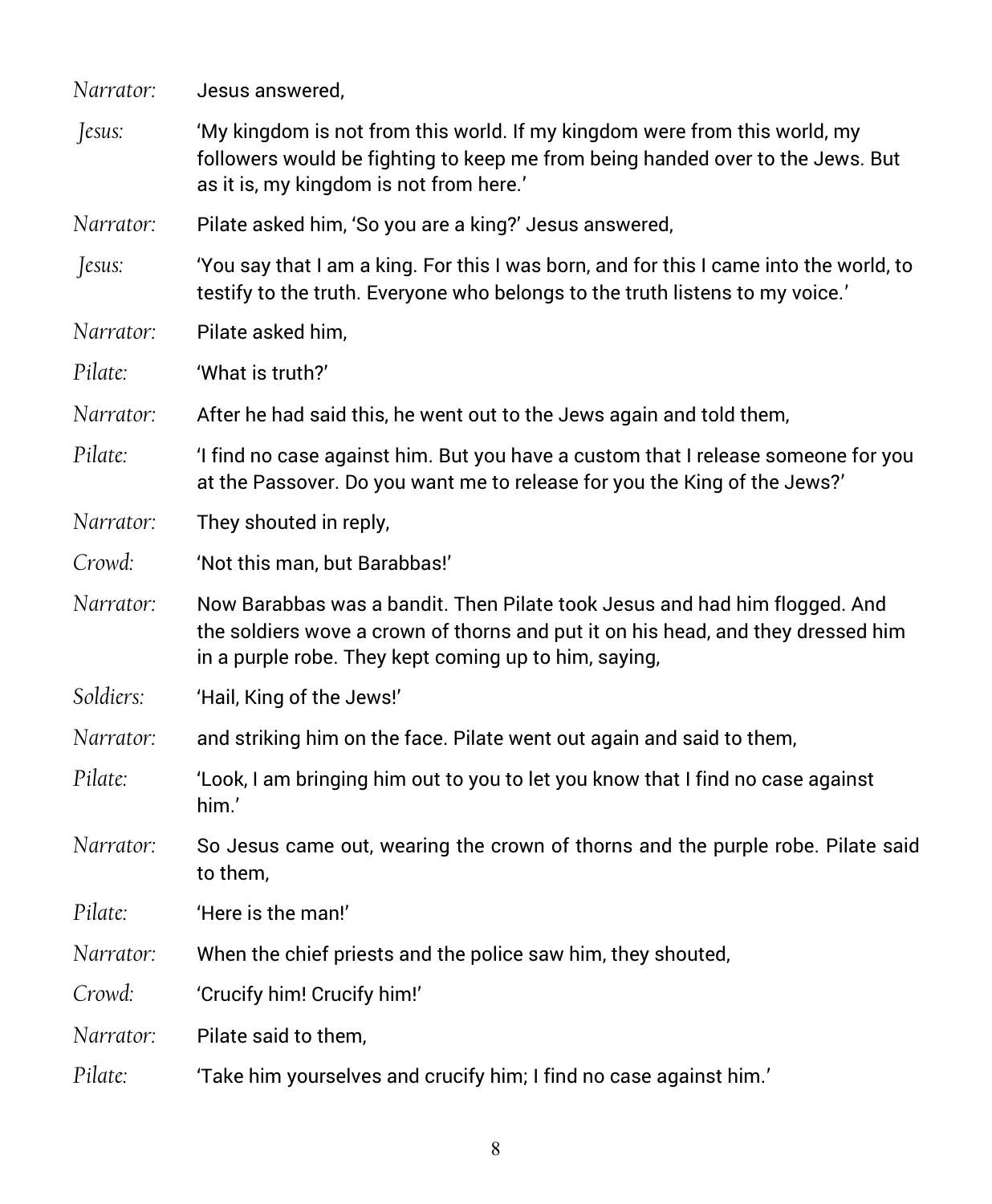*Narrator:* Jesus answered,

*Jesus:* 'My kingdom is not from this world. If my kingdom were from this world, my followers would be fighting to keep me from being handed over to the Jews. But as it is, my kingdom is not from here.'

*Narrator:* Pilate asked him, 'So you are a king?' Jesus answered,

*Jesus:* 'You say that I am a king. For this I was born, and for this I came into the world, to testify to the truth. Everyone who belongs to the truth listens to my voice.'

*Narrator:* Pilate asked him,

*Pilate:* 'What is truth?'

*Narrator:* After he had said this, he went out to the Jews again and told them,

*Pilate:* 'I find no case against him. But you have a custom that I release someone for you at the Passover. Do you want me to release for you the King of the Jews?'

*Narrator:* They shouted in reply,

*Crowd:* 'Not this man, but Barabbas!'

*Narrator:* Now Barabbas was a bandit. Then Pilate took Jesus and had him flogged. And the soldiers wove a crown of thorns and put it on his head, and they dressed him in a purple robe. They kept coming up to him, saying,

*Soldiers:* 'Hail, King of the Jews!'

*Narrator:* and striking him on the face. Pilate went out again and said to them,

*Pilate:* 'Look, I am bringing him out to you to let you know that I find no case against him.'

*Narrator:* So Jesus came out, wearing the crown of thorns and the purple robe. Pilate said to them,

*Pilate:* 'Here is the man!'

*Narrator:* When the chief priests and the police saw him, they shouted,

*Crowd:* 'Crucify him! Crucify him!'

*Narrator:* Pilate said to them,

*Pilate:* 'Take him yourselves and crucify him; I find no case against him.'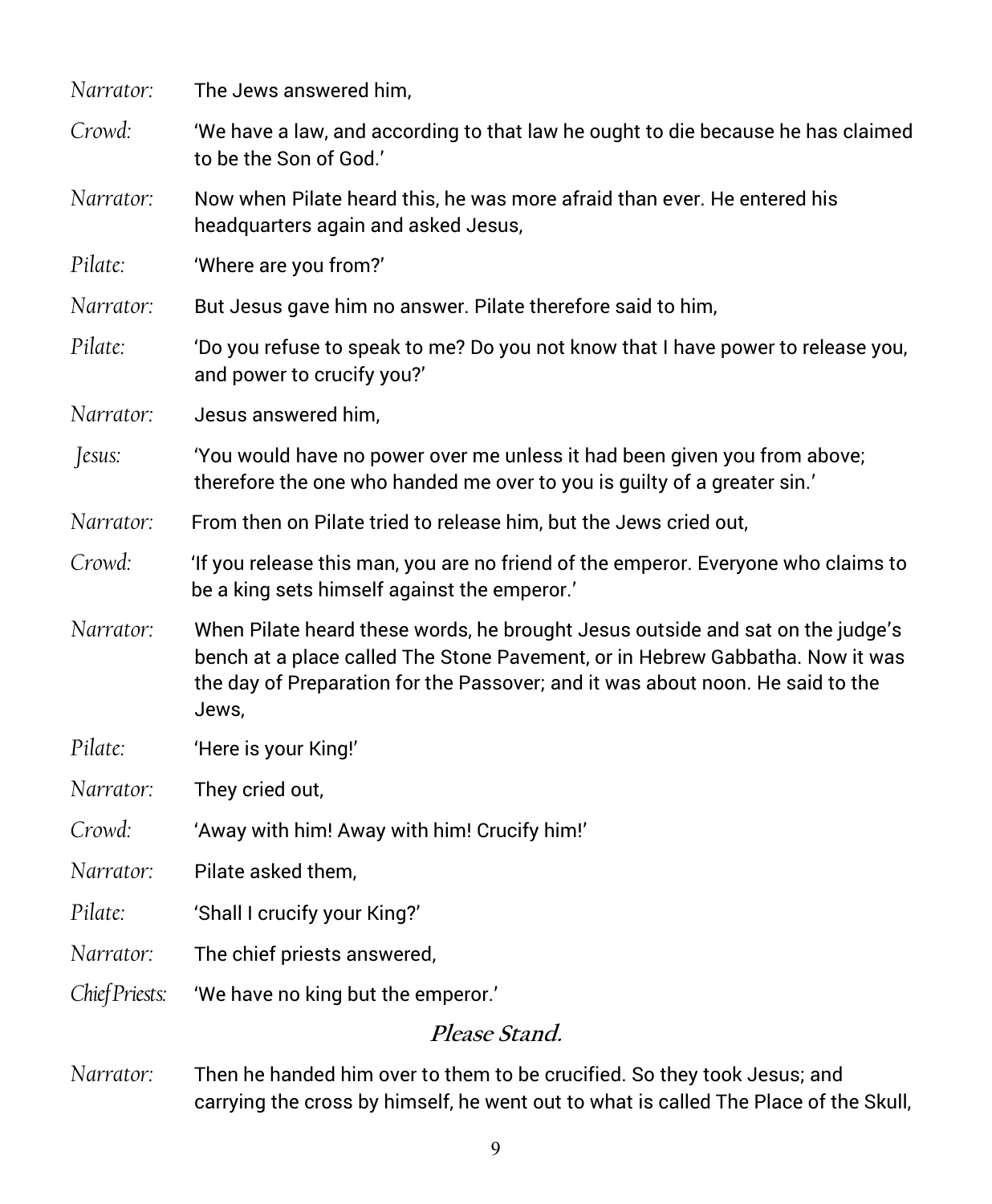*Narrator:* The Jews answered him,

*Crowd:* 'We have a law, and according to that law he ought to die because he has claimed to be the Son of God.'

*Narrator:* Now when Pilate heard this, he was more afraid than ever. He entered his headquarters again and asked Jesus,

*Pilate:* 'Where are you from?'

*Narrator:* But Jesus gave him no answer. Pilate therefore said to him,

*Pilate:* 'Do you refuse to speak to me? Do you not know that I have power to release you, and power to crucify you?'

*Narrator:* Jesus answered him,

*Jesus:* 'You would have no power over me unless it had been given you from above; therefore the one who handed me over to you is guilty of a greater sin.'

*Narrator:* From then on Pilate tried to release him, but the Jews cried out,

*Crowd:* 'If you release this man, you are no friend of the emperor. Everyone who claims to be a king sets himself against the emperor.'

*Narrator:* When Pilate heard these words, he brought Jesus outside and sat on the judge's bench at a place called The Stone Pavement, or in Hebrew Gabbatha. Now it was the day of Preparation for the Passover; and it was about noon. He said to the Jews,

*Pilate:* 'Here is your King!'

*Narrator:* They cried out,

*Crowd:* 'Away with him! Away with him! Crucify him!'

*Narrator:* Pilate asked them,

*Pilate:* 'Shall I crucify your King?'

*Narrator:* The chief priests answered,

*Chief Priests:* 'We have no king but the emperor.'

**Please Stand.**

*Narrator:* Then he handed him over to them to be crucified. So they took Jesus; and carrying the cross by himself, he went out to what is called The Place of the Skull,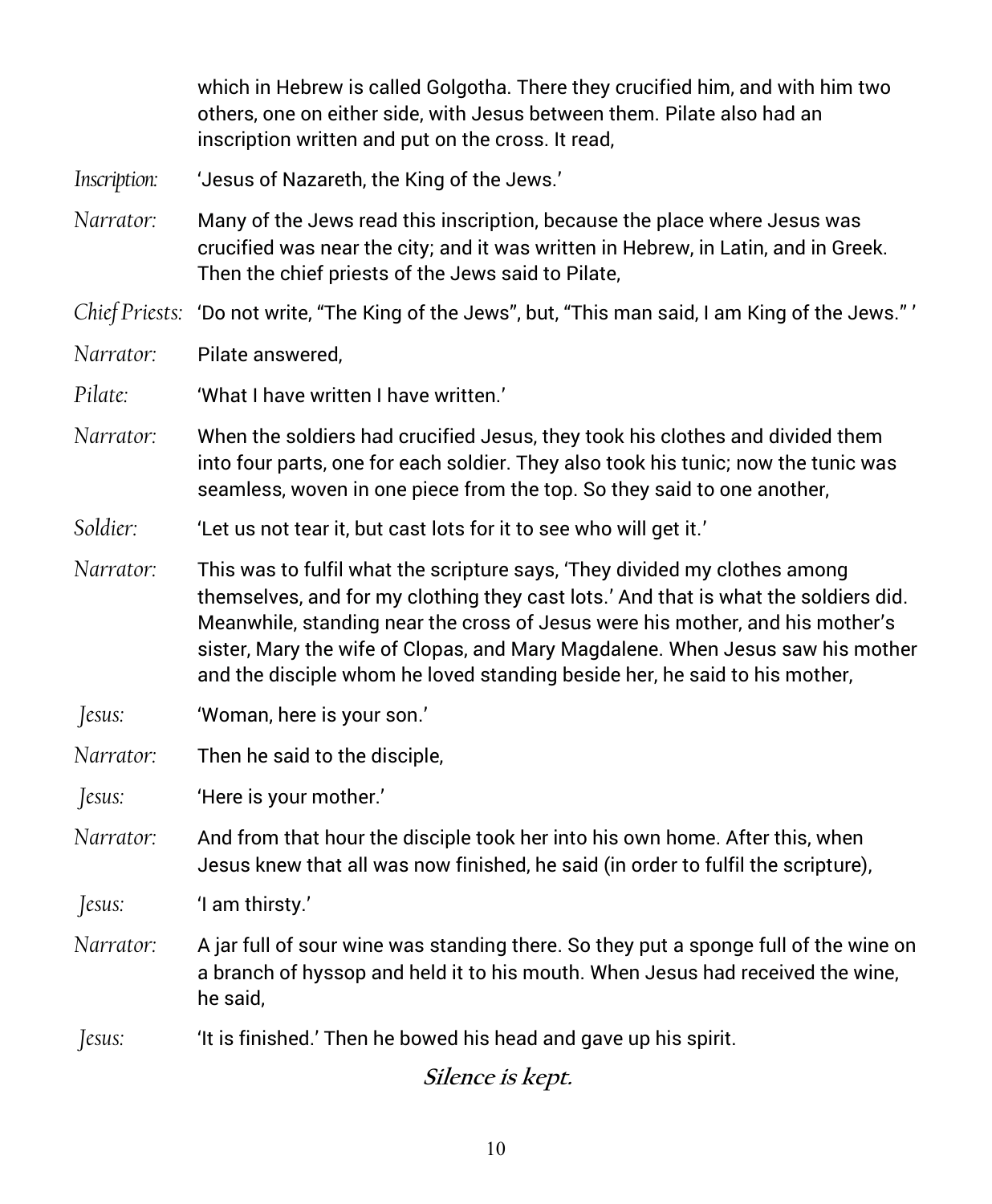which in Hebrew is called Golgotha. There they crucified him, and with him two others, one on either side, with Jesus between them. Pilate also had an inscription written and put on the cross. It read,

- *Inscription:* 'Jesus of Nazareth, the King of the Jews.'
- *Narrator:* Many of the Jews read this inscription, because the place where Jesus was crucified was near the city; and it was written in Hebrew, in Latin, and in Greek. Then the chief priests of the Jews said to Pilate,

*Chief Priests:* 'Do not write, "The King of the Jews", but, "This man said, I am King of the Jews." '

*Narrator:* Pilate answered,

*Pilate:* 'What I have written I have written.'

- *Narrator:* When the soldiers had crucified Jesus, they took his clothes and divided them into four parts, one for each soldier. They also took his tunic; now the tunic was seamless, woven in one piece from the top. So they said to one another,
- *Soldier:* 'Let us not tear it, but cast lots for it to see who will get it.'
- *Narrator:* This was to fulfil what the scripture says, 'They divided my clothes among themselves, and for my clothing they cast lots.' And that is what the soldiers did. Meanwhile, standing near the cross of Jesus were his mother, and his mother's sister, Mary the wife of Clopas, and Mary Magdalene. When Jesus saw his mother and the disciple whom he loved standing beside her, he said to his mother,
- *Jesus:* 'Woman, here is your son.'
- *Narrator:* Then he said to the disciple,

*Jesus:* 'Here is your mother.'

*Narrator:* And from that hour the disciple took her into his own home. After this, when Jesus knew that all was now finished, he said (in order to fulfil the scripture),

*Jesus:* 'I am thirsty.'

- *Narrator:* A jar full of sour wine was standing there. So they put a sponge full of the wine on a branch of hyssop and held it to his mouth. When Jesus had received the wine, he said,
- *Jesus:* 'It is finished.' Then he bowed his head and gave up his spirit.

**Silence is kept.**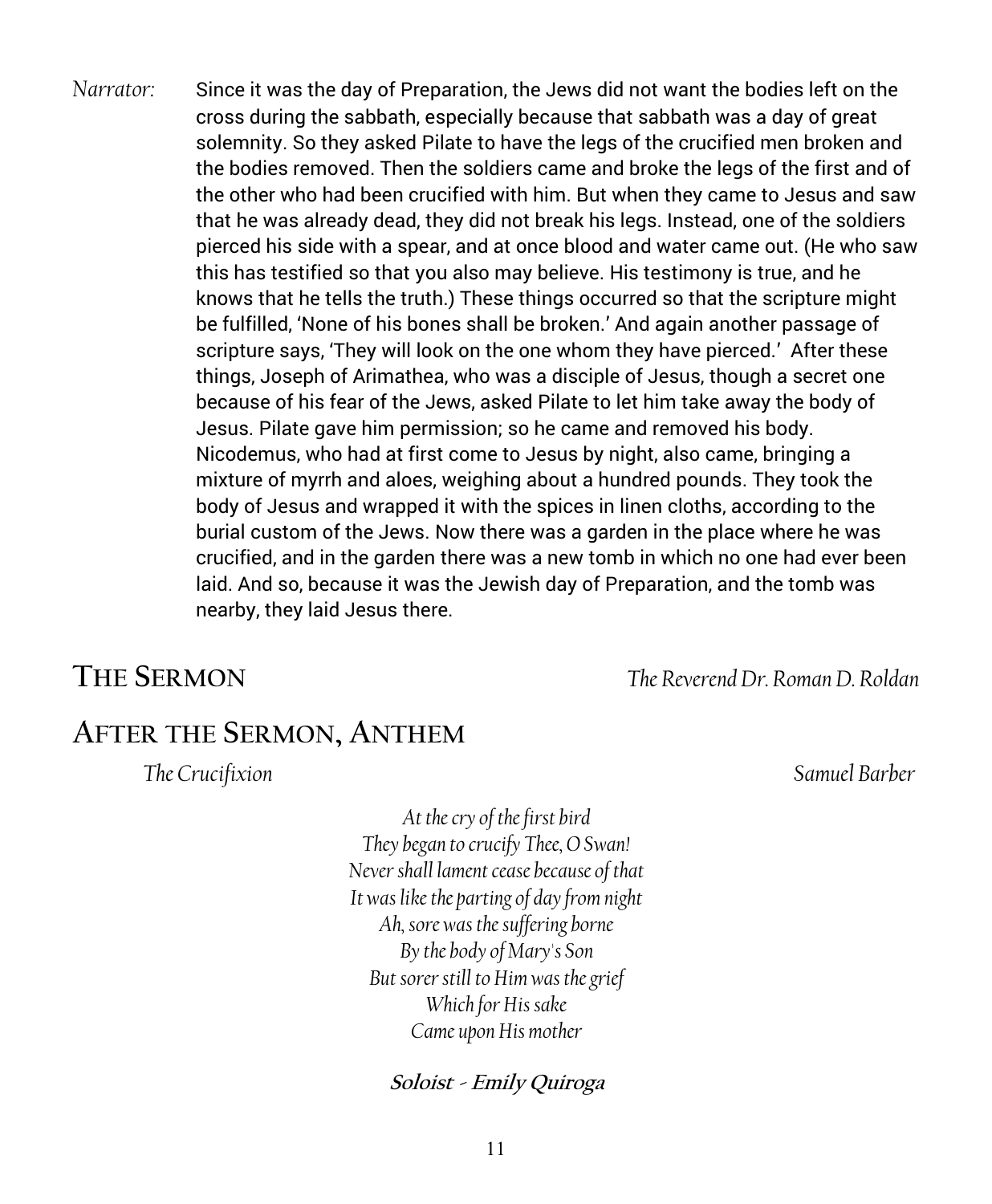*Narrator:* Since it was the day of Preparation, the Jews did not want the bodies left on the cross during the sabbath, especially because that sabbath was a day of great solemnity. So they asked Pilate to have the legs of the crucified men broken and the bodies removed. Then the soldiers came and broke the legs of the first and of the other who had been crucified with him. But when they came to Jesus and saw that he was already dead, they did not break his legs. Instead, one of the soldiers pierced his side with a spear, and at once blood and water came out. (He who saw this has testified so that you also may believe. His testimony is true, and he knows that he tells the truth.) These things occurred so that the scripture might be fulfilled, 'None of his bones shall be broken.' And again another passage of scripture says, 'They will look on the one whom they have pierced.' After these things, Joseph of Arimathea, who was a disciple of Jesus, though a secret one because of his fear of the Jews, asked Pilate to let him take away the body of Jesus. Pilate gave him permission; so he came and removed his body. Nicodemus, who had at first come to Jesus by night, also came, bringing a mixture of myrrh and aloes, weighing about a hundred pounds. They took the body of Jesus and wrapped it with the spices in linen cloths, according to the burial custom of the Jews. Now there was a garden in the place where he was crucified, and in the garden there was a new tomb in which no one had ever been laid. And so, because it was the Jewish day of Preparation, and the tomb was nearby, they laid Jesus there.

**THE SERMON** *The Reverend Dr. Roman D. Roldan*

## **AFTER THE SERMON, ANTHEM**

**The Crucifixion Samuel Barber** Samuel Barber

*At the cry of the first bird They began to crucify Thee, O Swan! Never shall lament cease because of that It was like the parting of day from night Ah, sore was the suffering borne By the body of Mary's Son But sorer still to Him was the grief Which for His sake Came upon His mother*

#### **Soloist - Emily Quiroga**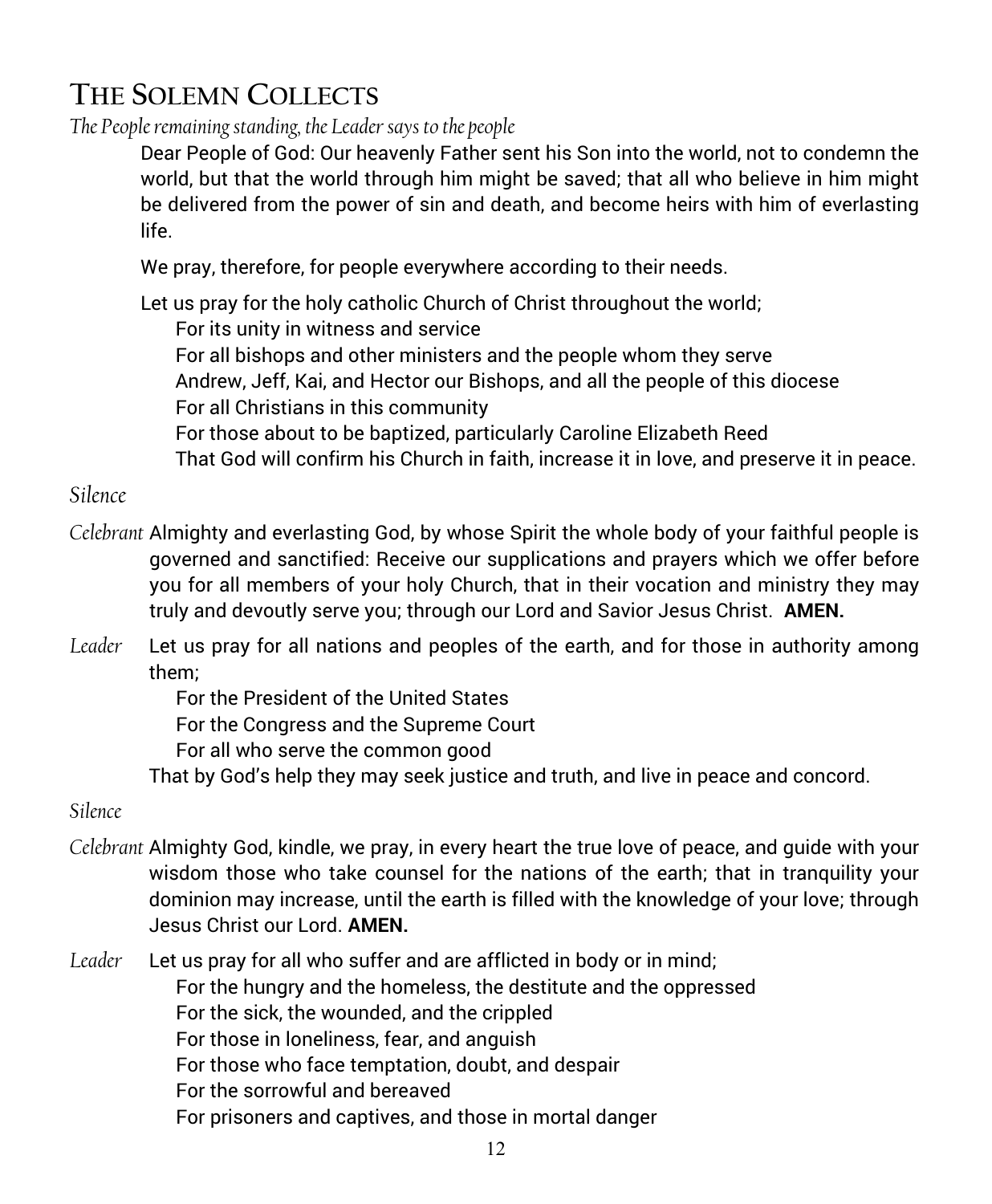# **THE SOLEMN COLLECTS**

*The People remaining standing, the Leader says to the people*

Dear People of God: Our heavenly Father sent his Son into the world, not to condemn the world, but that the world through him might be saved; that all who believe in him might be delivered from the power of sin and death, and become heirs with him of everlasting life.

We pray, therefore, for people everywhere according to their needs.

Let us pray for the holy catholic Church of Christ throughout the world;

For its unity in witness and service

For all bishops and other ministers and the people whom they serve Andrew, Jeff, Kai, and Hector our Bishops, and all the people of this diocese For all Christians in this community For those about to be baptized, particularly Caroline Elizabeth Reed

That God will confirm his Church in faith, increase it in love, and preserve it in peace.

#### *Silence*

- *Celebrant* Almighty and everlasting God, by whose Spirit the whole body of your faithful people is governed and sanctified: Receive our supplications and prayers which we offer before you for all members of your holy Church, that in their vocation and ministry they may truly and devoutly serve you; through our Lord and Savior Jesus Christ. **AMEN.**
- *Leader* Let us pray for all nations and peoples of the earth, and for those in authority among them;

For the President of the United States For the Congress and the Supreme Court For all who serve the common good

That by God's help they may seek justice and truth, and live in peace and concord.

*Silence*

*Celebrant* Almighty God, kindle, we pray, in every heart the true love of peace, and guide with your wisdom those who take counsel for the nations of the earth; that in tranquility your dominion may increase, until the earth is filled with the knowledge of your love; through Jesus Christ our Lord. **AMEN.** 

*Leader* Let us pray for all who suffer and are afflicted in body or in mind; For the hungry and the homeless, the destitute and the oppressed For the sick, the wounded, and the crippled For those in loneliness, fear, and anguish For those who face temptation, doubt, and despair For the sorrowful and bereaved For prisoners and captives, and those in mortal danger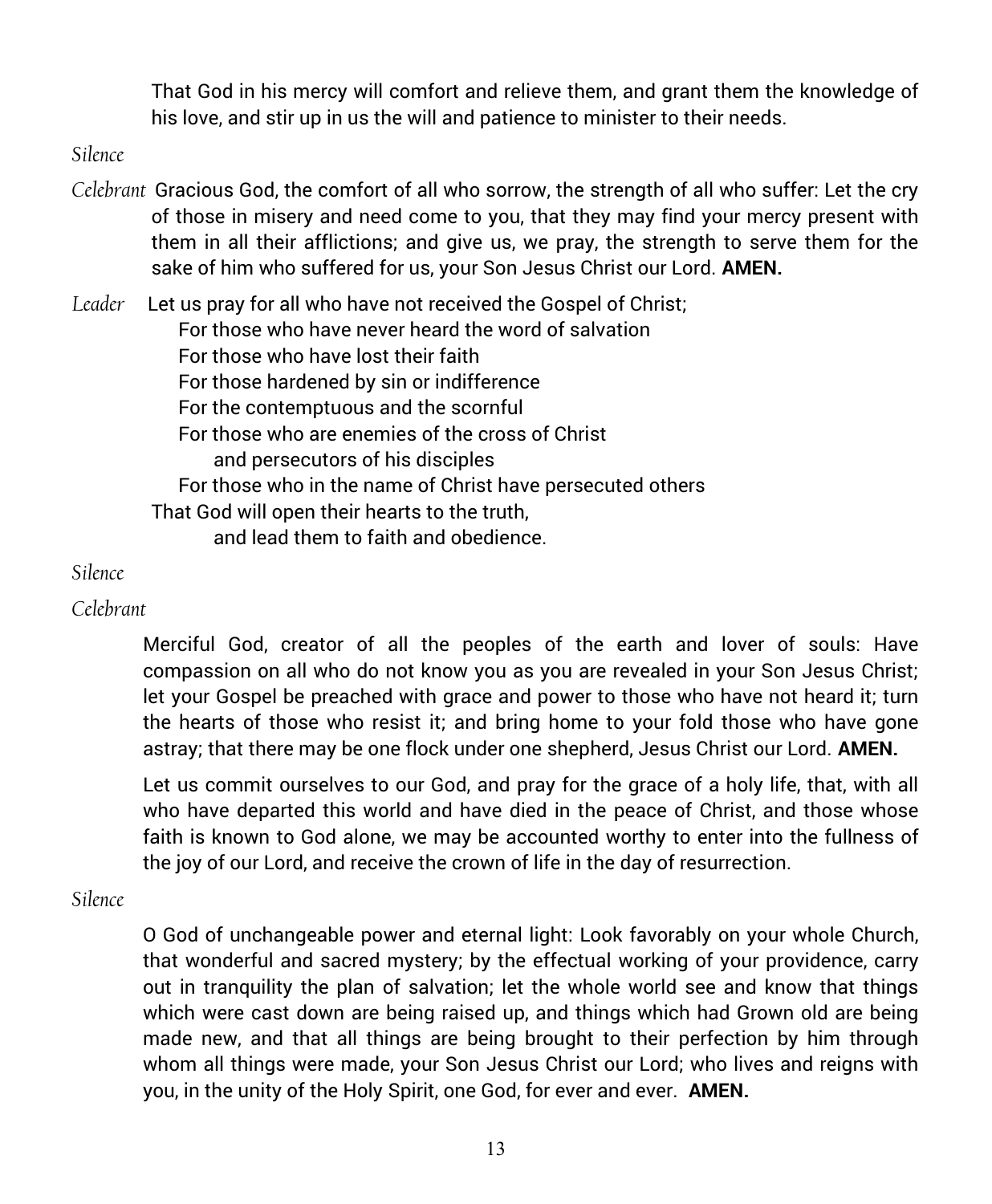That God in his mercy will comfort and relieve them, and grant them the knowledge of his love, and stir up in us the will and patience to minister to their needs.

*Silence*

*Celebrant* Gracious God, the comfort of all who sorrow, the strength of all who suffer: Let the cry of those in misery and need come to you, that they may find your mercy present with them in all their afflictions; and give us, we pray, the strength to serve them for the sake of him who suffered for us, your Son Jesus Christ our Lord. **AMEN.** 

*Leader* Let us pray for all who have not received the Gospel of Christ; For those who have never heard the word of salvation For those who have lost their faith For those hardened by sin or indifference For the contemptuous and the scornful For those who are enemies of the cross of Christ and persecutors of his disciples For those who in the name of Christ have persecuted others That God will open their hearts to the truth, and lead them to faith and obedience.

*Silence*

*Celebrant*

Merciful God, creator of all the peoples of the earth and lover of souls: Have compassion on all who do not know you as you are revealed in your Son Jesus Christ; let your Gospel be preached with grace and power to those who have not heard it; turn the hearts of those who resist it; and bring home to your fold those who have gone astray; that there may be one flock under one shepherd, Jesus Christ our Lord. **AMEN.**

Let us commit ourselves to our God, and pray for the grace of a holy life, that, with all who have departed this world and have died in the peace of Christ, and those whose faith is known to God alone, we may be accounted worthy to enter into the fullness of the joy of our Lord, and receive the crown of life in the day of resurrection.

*Silence*

O God of unchangeable power and eternal light: Look favorably on your whole Church, that wonderful and sacred mystery; by the effectual working of your providence, carry out in tranquility the plan of salvation; let the whole world see and know that things which were cast down are being raised up, and things which had Grown old are being made new, and that all things are being brought to their perfection by him through whom all things were made, your Son Jesus Christ our Lord; who lives and reigns with you, in the unity of the Holy Spirit, one God, for ever and ever. **AMEN.**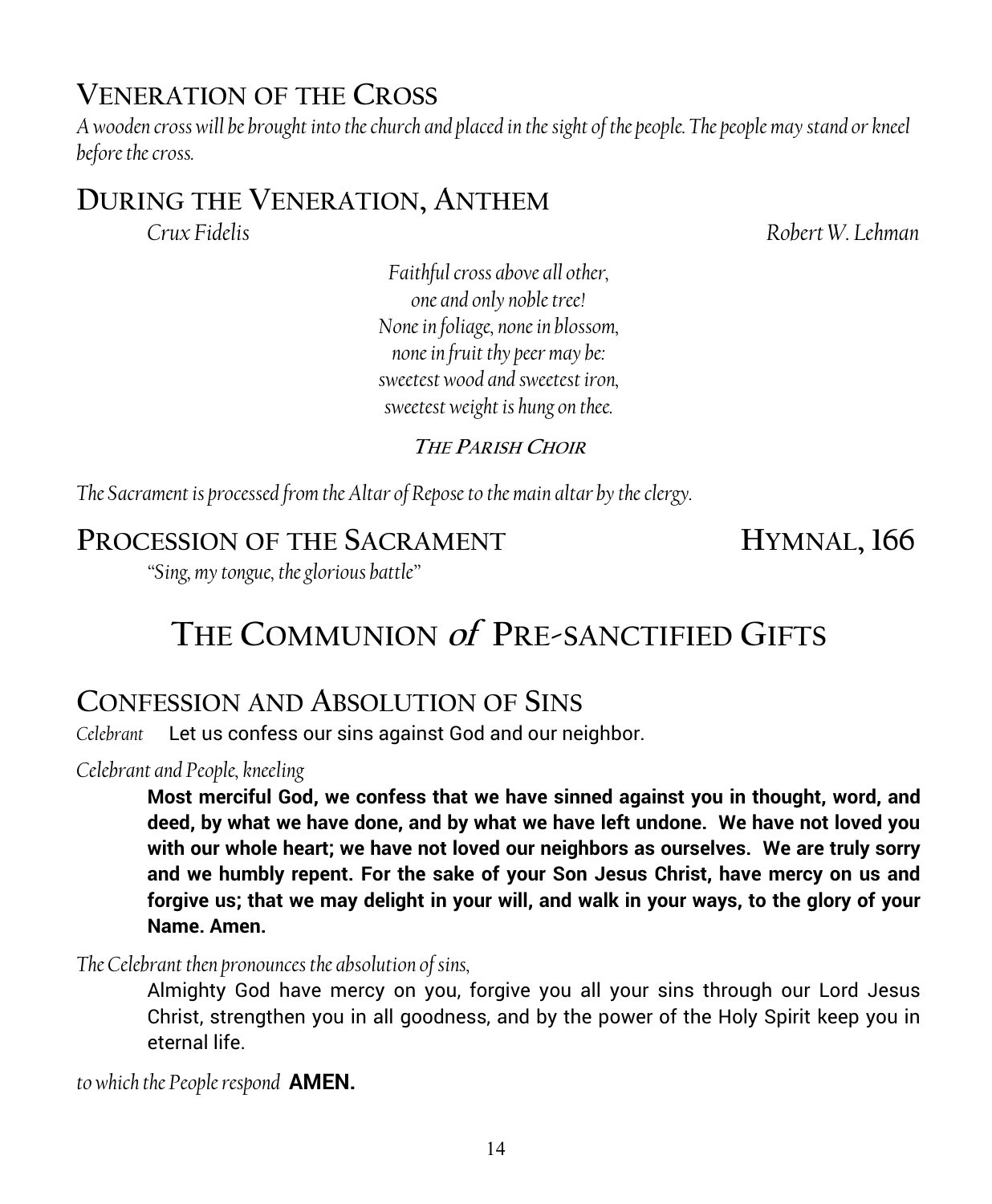# **VENERATION OF THE CROSS**

*A wooden cross will be brought into the church and placed in the sight of the people. The people may stand or kneel before the cross.*

### **DURING THE VENERATION, ANTHEM**

*Crux Fidelis Robert W. Lehman*

*Faithful cross above all other, one and only noble tree! None in foliage, none in blossom, none in fruit thy peer may be: sweetest wood and sweetest iron, sweetest weight is hung on thee.*

#### **THE PARISH CHOIR**

*The Sacrament is processed from the Altar of Repose to the main altar by the clergy.*

#### **PROCESSION OF THE SACRAMENT****HYMNAL, 166**

*"Sing, my tongue, the glorious battle"*

# **THE COMMUNION of PRE-SANCTIFIED GIFTS**

## **CONFESSION AND ABSOLUTION OF SINS**

*Celebrant* Let us confess our sins against God and our neighbor.

*Celebrant and People, kneeling*

**Most merciful God, we confess that we have sinned against you in thought, word, and deed, by what we have done, and by what we have left undone. We have not loved you with our whole heart; we have not loved our neighbors as ourselves. We are truly sorry and we humbly repent. For the sake of your Son Jesus Christ, have mercy on us and forgive us; that we may delight in your will, and walk in your ways, to the glory of your Name. Amen.**

#### *The Celebrant then pronounces the absolution of sins,*

Almighty God have mercy on you, forgive you all your sins through our Lord Jesus Christ, strengthen you in all goodness, and by the power of the Holy Spirit keep you in eternal life.

*to which the People respond* **AMEN.**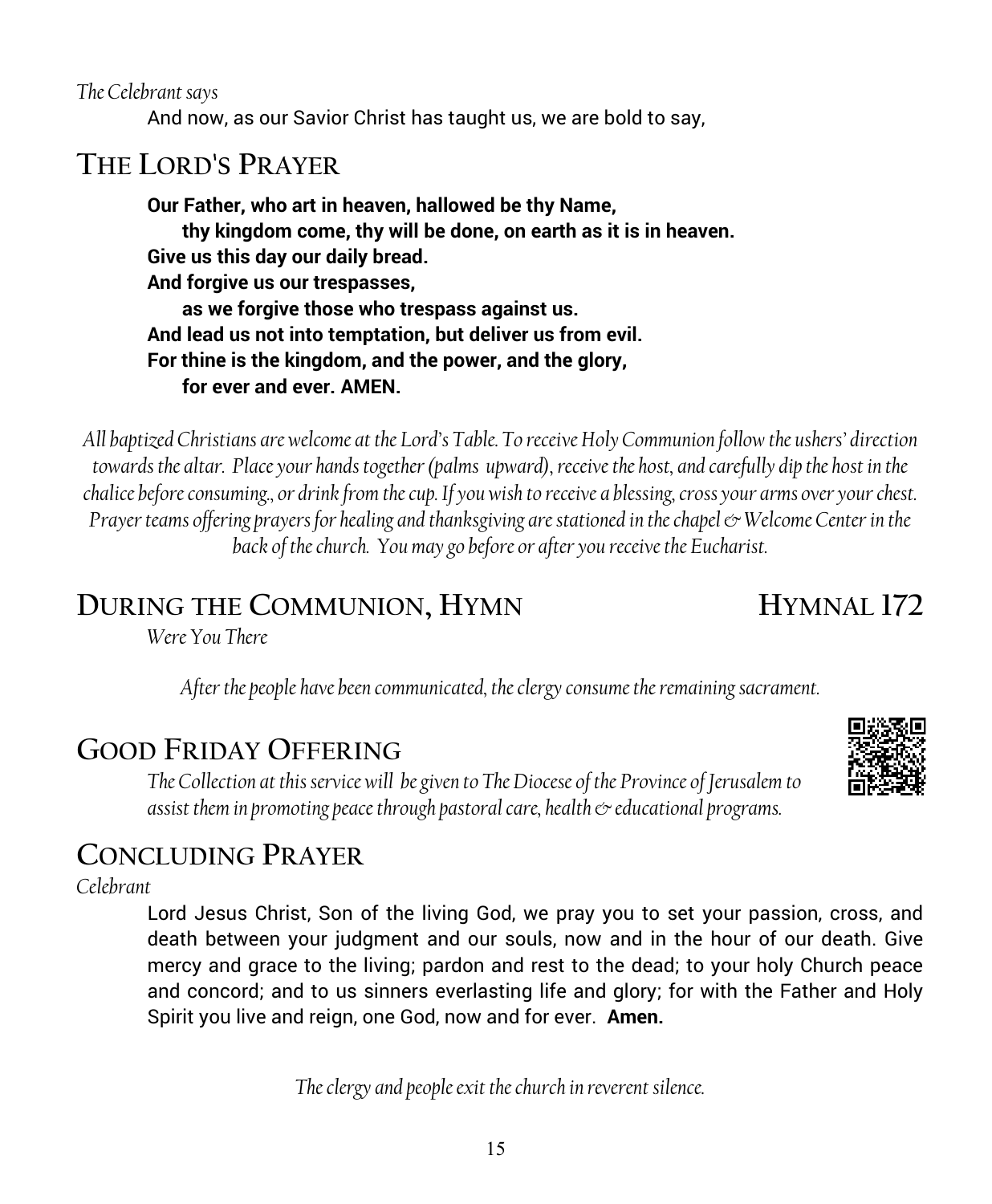*The Celebrant says*

And now, as our Savior Christ has taught us, we are bold to say,

# **THE LORD'S PRAYER**

**Our Father, who art in heaven, hallowed be thy Name, thy kingdom come, thy will be done, on earth as it is in heaven. Give us this day our daily bread. And forgive us our trespasses, as we forgive those who trespass against us. And lead us not into temptation, but deliver us from evil. For thine is the kingdom, and the power, and the glory, for ever and ever. AMEN.**

*All baptized Christians are welcome at the Lord's Table. To receive Holy Communion follow the ushers' direction towards the altar. Place your hands together (palms upward), receive the host, and carefully dip the host in the chalice before consuming., or drink from the cup. If you wish to receive a blessing, cross your arms over your chest. Prayer teams offering prayers for healing and thanksgiving are stationed in the chapel*  $\infty$  *Welcome Center in the back of the church. You may go before or after you receive the Eucharist.* 

# **DURING THE COMMUNION, HYMN HYMNAL 172**

*Were You There* 

*After the people have been communicated, the clergy consume the remaining sacrament.*

# **GOOD FRIDAY OFFERING**

*The Collection at this service will be given to The Diocese of the Province of Jerusalem to assist them in promoting peace through pastoral care, health & educational programs.* 

## **CONCLUDING PRAYER**

*Celebrant* 

Lord Jesus Christ, Son of the living God, we pray you to set your passion, cross, and death between your judgment and our souls, now and in the hour of our death. Give mercy and grace to the living; pardon and rest to the dead; to your holy Church peace and concord; and to us sinners everlasting life and glory; for with the Father and Holy Spirit you live and reign, one God, now and for ever. **Amen.**

*The clergy and people exit the church in reverent silence.*